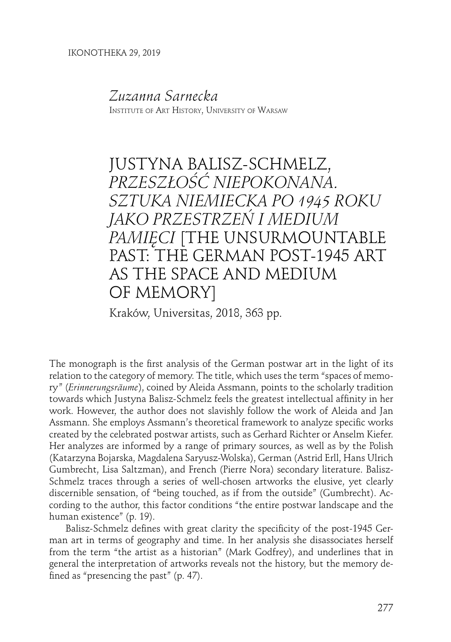## *Zuzanna Sarnecka*

Institute of Art History, University of Warsaw

## JUSTYNA BALISZ-SCHMELZ, *PRZESZŁOŚĆ NIEPOKONANA. SZTUKA NIEMIECKA PO 1945 ROKU JAKO PRZESTRZEŃ I MEDIUM PAMIĘCI* [THE UNSURMOUNTABLE PAST: THE GERMAN POST-1945 ART AS THE SPACE AND MEDIUM OF MEMORY]

Kraków, Universitas, 2018, 363 pp.

The monograph is the first analysis of the German postwar art in the light of its relation to the category of memory. The title, which uses the term "spaces of memory" (*Erinnerungsräume*), coined by Aleida Assmann, points to the scholarly tradition towards which Justyna Balisz-Schmelz feels the greatest intellectual affinity in her work. However, the author does not slavishly follow the work of Aleida and Jan Assmann. She employs Assmann's theoretical framework to analyze specific works created by the celebrated postwar artists, such as Gerhard Richter or Anselm Kiefer. Her analyzes are informed by a range of primary sources, as well as by the Polish (Katarzyna Bojarska, Magdalena Saryusz-Wolska), German (Astrid Erll, Hans Ulrich Gumbrecht, Lisa Saltzman), and French (Pierre Nora) secondary literature. Balisz-Schmelz traces through a series of well-chosen artworks the elusive, yet clearly discernible sensation, of "being touched, as if from the outside" (Gumbrecht). According to the author, this factor conditions "the entire postwar landscape and the human existence" (p. 19).

Balisz-Schmelz defines with great clarity the specificity of the post-1945 German art in terms of geography and time. In her analysis she disassociates herself from the term "the artist as a historian" (Mark Godfrey), and underlines that in general the interpretation of artworks reveals not the history, but the memory defined as "presencing the past" (p. 47).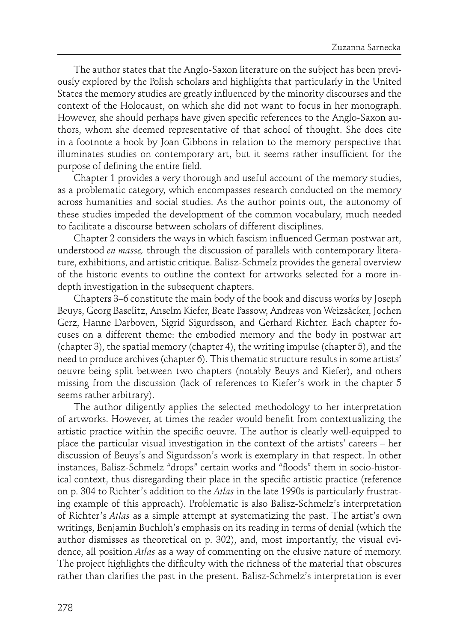The author states that the Anglo-Saxon literature on the subject has been previously explored by the Polish scholars and highlights that particularly in the United States the memory studies are greatly influenced by the minority discourses and the context of the Holocaust, on which she did not want to focus in her monograph. However, she should perhaps have given specific references to the Anglo-Saxon authors, whom she deemed representative of that school of thought. She does cite in a footnote a book by Joan Gibbons in relation to the memory perspective that illuminates studies on contemporary art, but it seems rather insufficient for the purpose of defining the entire field.

Chapter 1 provides a very thorough and useful account of the memory studies, as a problematic category, which encompasses research conducted on the memory across humanities and social studies. As the author points out, the autonomy of these studies impeded the development of the common vocabulary, much needed to facilitate a discourse between scholars of different disciplines.

Chapter 2 considers the ways in which fascism influenced German postwar art, understood *en masse,* through the discussion of parallels with contemporary literature, exhibitions, and artistic critique. Balisz-Schmelz provides the general overview of the historic events to outline the context for artworks selected for a more indepth investigation in the subsequent chapters.

Chapters 3–6 constitute the main body of the book and discuss works by Joseph Beuys, Georg Baselitz, Anselm Kiefer, Beate Passow, Andreas von Weizsäcker, Jochen Gerz, Hanne Darboven, Sigrid Sigurdsson, and Gerhard Richter. Each chapter focuses on a different theme: the embodied memory and the body in postwar art (chapter 3), the spatial memory (chapter 4), the writing impulse (chapter 5), and the need to produce archives (chapter 6). This thematic structure results in some artists' oeuvre being split between two chapters (notably Beuys and Kiefer), and others missing from the discussion (lack of references to Kiefer's work in the chapter 5 seems rather arbitrary).

The author diligently applies the selected methodology to her interpretation of artworks. However, at times the reader would benefit from contextualizing the artistic practice within the specific oeuvre. The author is clearly well-equipped to place the particular visual investigation in the context of the artists' careers – her discussion of Beuys's and Sigurdsson's work is exemplary in that respect. In other instances, Balisz-Schmelz "drops" certain works and "floods" them in socio-historical context, thus disregarding their place in the specific artistic practice (reference on p. 304 to Richter's addition to the *Atlas* in the late 1990s is particularly frustrating example of this approach). Problematic is also Balisz-Schmelz's interpretation of Richter's *Atlas* as a simple attempt at systematizing the past. The artist's own writings, Benjamin Buchloh's emphasis on its reading in terms of denial (which the author dismisses as theoretical on p. 302), and, most importantly, the visual evidence, all position *Atlas* as a way of commenting on the elusive nature of memory. The project highlights the difficulty with the richness of the material that obscures rather than clarifies the past in the present. Balisz-Schmelz's interpretation is ever